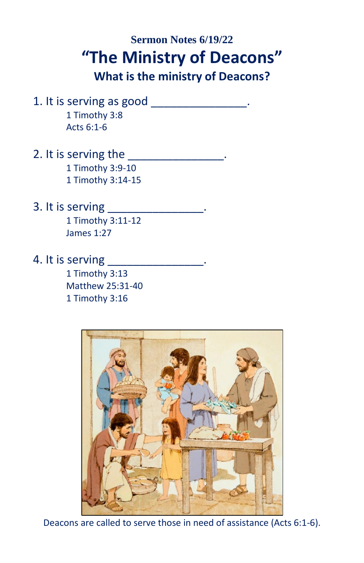## **Sermon Notes 6/19/22 "The Ministry of Deacons"**

**What is the ministry of Deacons?**

- 1. It is serving as good \_\_\_\_\_\_\_\_\_\_\_\_\_\_. 1 Timothy 3:8 Acts 6:1-6
- 2. It is serving the the control of the control of  $\sim$ 1 Timothy 3:9-10

1 Timothy 3:14-15

3. It is serving \_\_\_\_\_\_\_\_\_\_\_\_\_\_\_.

1 Timothy 3:11-12 James 1:27

4. It is serving

1 Timothy 3:13 Matthew 25:31-40 1 Timothy 3:16



Deacons are called to serve those in need of assistance (Acts 6:1-6).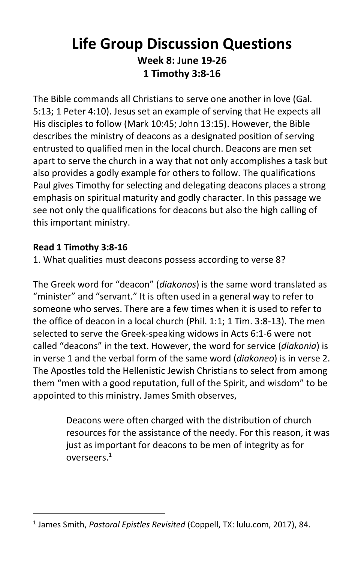## **Life Group Discussion Questions Week 8: June 19-26 1 Timothy 3:8-16**

The Bible commands all Christians to serve one another in love (Gal. 5:13; 1 Peter 4:10). Jesus set an example of serving that He expects all His disciples to follow (Mark 10:45; John 13:15). However, the Bible describes the ministry of deacons as a designated position of serving entrusted to qualified men in the local church. Deacons are men set apart to serve the church in a way that not only accomplishes a task but also provides a godly example for others to follow. The qualifications Paul gives Timothy for selecting and delegating deacons places a strong emphasis on spiritual maturity and godly character. In this passage we see not only the qualifications for deacons but also the high calling of this important ministry.

## **Read 1 Timothy 3:8-16**

1. What qualities must deacons possess according to verse 8?

The Greek word for "deacon" (*diakonos*) is the same word translated as "minister" and "servant." It is often used in a general way to refer to someone who serves. There are a few times when it is used to refer to the office of deacon in a local church (Phil. 1:1; 1 Tim. 3:8-13). The men selected to serve the Greek-speaking widows in Acts 6:1-6 were not called "deacons" in the text. However, the word for service (*diakonia*) is in verse 1 and the verbal form of the same word (*diakoneo*) is in verse 2. The Apostles told the Hellenistic Jewish Christians to select from among them "men with a good reputation, full of the Spirit, and wisdom" to be appointed to this ministry. James Smith observes,

> Deacons were often charged with the distribution of church resources for the assistance of the needy. For this reason, it was just as important for deacons to be men of integrity as for overseers.<sup>1</sup>

<sup>1</sup> James Smith, *Pastoral Epistles Revisited* (Coppell, TX: lulu.com, 2017), 84.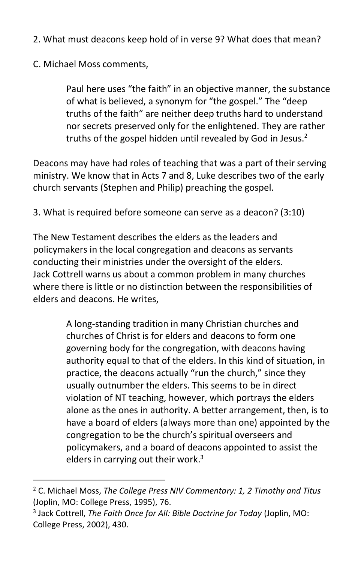- 2. What must deacons keep hold of in verse 9? What does that mean?
- C. Michael Moss comments,

Paul here uses "the faith" in an objective manner, the substance of what is believed, a synonym for "the gospel." The "deep truths of the faith" are neither deep truths hard to understand nor secrets preserved only for the enlightened. They are rather truths of the gospel hidden until revealed by God in Jesus. $<sup>2</sup>$ </sup>

Deacons may have had roles of teaching that was a part of their serving ministry. We know that in Acts 7 and 8, Luke describes two of the early church servants (Stephen and Philip) preaching the gospel.

3. What is required before someone can serve as a deacon? (3:10)

The New Testament describes the elders as the leaders and policymakers in the local congregation and deacons as servants conducting their ministries under the oversight of the elders. Jack Cottrell warns us about a common problem in many churches where there is little or no distinction between the responsibilities of elders and deacons. He writes,

> A long-standing tradition in many Christian churches and churches of Christ is for elders and deacons to form one governing body for the congregation, with deacons having authority equal to that of the elders. In this kind of situation, in practice, the deacons actually "run the church," since they usually outnumber the elders. This seems to be in direct violation of NT teaching, however, which portrays the elders alone as the ones in authority. A better arrangement, then, is to have a board of elders (always more than one) appointed by the congregation to be the church's spiritual overseers and policymakers, and a board of deacons appointed to assist the elders in carrying out their work.<sup>3</sup>

<sup>2</sup> C. Michael Moss, *The College Press NIV Commentary: 1, 2 Timothy and Titus* (Joplin, MO: College Press, 1995), 76.

<sup>3</sup> Jack Cottrell, *The Faith Once for All: Bible Doctrine for Today* (Joplin, MO: College Press, 2002), 430.